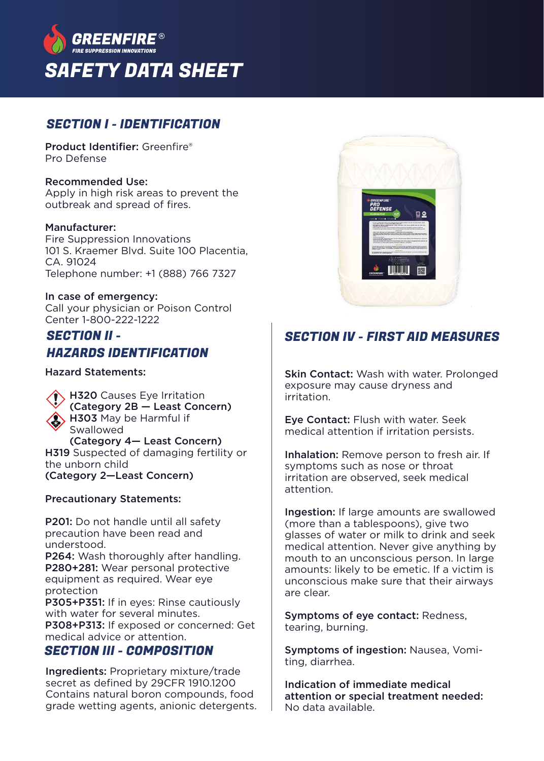

### SECTION I - IDENTIFICATION

Product Identifier: Greenfire® Pro Defense

#### Recommended Use:

Apply in high risk areas to prevent the outbreak and spread of fires.

#### Manufacturer:

Fire Suppression Innovations 101 S. Kraemer Blvd. Suite 100 Placentia,  $C\Delta$  91024 Telephone number: +1 (888) 766 7327

#### In case of emergency:

Call your physician or Poison Control Center 1-800-222-1222

### SECTION II - HAZARDS IDENTIFICATION

Hazard Statements:

**H320** Causes Eye Irritation (Category 2B — Least Concern) H303 May be Harmful if Swallowed (Category 4— Least Concern) H319 Suspected of damaging fertility or the unborn child

(Category 2—Least Concern)

#### Precautionary Statements:

P201: Do not handle until all safety precaution have been read and understood. P264: Wash thoroughly after handling. P280+281: Wear personal protective equipment as required. Wear eye protection P305+P351: If in eyes: Rinse cautiously with water for several minutes. P308+P313: If exposed or concerned: Get medical advice or attention.

### SECTION III - COMPOSITION

Ingredients: Proprietary mixture/trade secret as defined by 29CFR 1910.1200 Contains natural boron compounds, food grade wetting agents, anionic detergents.



# SECTION IV - FIRST AID MEASURES

Skin Contact: Wash with water. Prolonged exposure may cause dryness and irritation.

Eye Contact: Flush with water. Seek medical attention if irritation persists.

Inhalation: Remove person to fresh air. If symptoms such as nose or throat irritation are observed, seek medical attention.

Ingestion: If large amounts are swallowed (more than a tablespoons), give two glasses of water or milk to drink and seek medical attention. Never give anything by mouth to an unconscious person. In large amounts: likely to be emetic. If a victim is unconscious make sure that their airways are clear.

Symptoms of eye contact: Redness, tearing, burning.

Symptoms of ingestion: Nausea, Vomiting, diarrhea.

Indication of immediate medical attention or special treatment needed: No data available.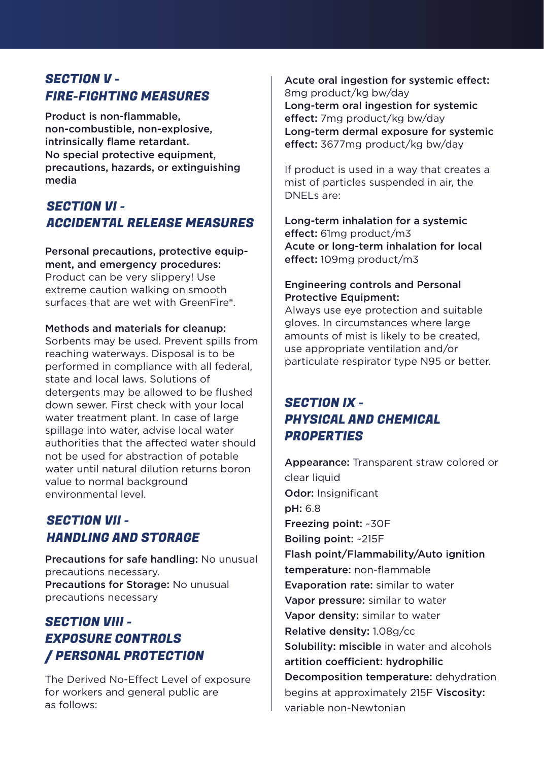## SECTION V - FIRE-FIGHTING MEASURES

Product is non-flammable, non-combustible, non-explosive, intrinsically flame retardant. No special protective equipment, precautions, hazards, or extinguishing media

## SECTION VI - ACCIDENTAL RELEASE MEASURES

Personal precautions, protective equipment, and emergency procedures: Product can be very slippery! Use extreme caution walking on smooth surfaces that are wet with GreenFire®.

#### Methods and materials for cleanup:

Sorbents may be used. Prevent spills from reaching waterways. Disposal is to be performed in compliance with all federal, state and local laws. Solutions of detergents may be allowed to be flushed down sewer. First check with your local water treatment plant. In case of large spillage into water, advise local water authorities that the affected water should not be used for abstraction of potable water until natural dilution returns boron value to normal background environmental level.

## SECTION VII - HANDLING AND STORAGE

Precautions for safe handling: No unusual precautions necessary. Precautions for Storage: No unusual precautions necessary

# SECTION VIII - EXPOSURE CONTROLS / PERSONAL PROTECTION

The Derived No-Effect Level of exposure for workers and general public are as follows:

Acute oral ingestion for systemic effect: 8mg product/kg bw/day Long-term oral ingestion for systemic effect: 7mg product/kg bw/day Long-term dermal exposure for systemic effect: 3677mg product/kg bw/day

If product is used in a way that creates a mist of particles suspended in air, the DNELs are:

Long-term inhalation for a systemic effect: 61mg product/m3 Acute or long-term inhalation for local effect: 109mg product/m3

#### Engineering controls and Personal Protective Equipment:

Always use eye protection and suitable gloves. In circumstances where large amounts of mist is likely to be created, use appropriate ventilation and/or particulate respirator type N95 or better.

# SECTION IX - PHYSICAL AND CHEMICAL **PROPERTIES**

Appearance: Transparent straw colored or clear liquid Odor: Insignificant pH: 6.8 Freezing point: ~30F Boiling point: ~215F Flash point/Flammability/Auto ignition temperature: non-flammable Evaporation rate: similar to water Vapor pressure: similar to water Vapor density: similar to water Relative density: 1.08g/cc Solubility: miscible in water and alcohols artition coefficient: hydrophilic Decomposition temperature: dehydration begins at approximately 215F Viscosity: variable non-Newtonian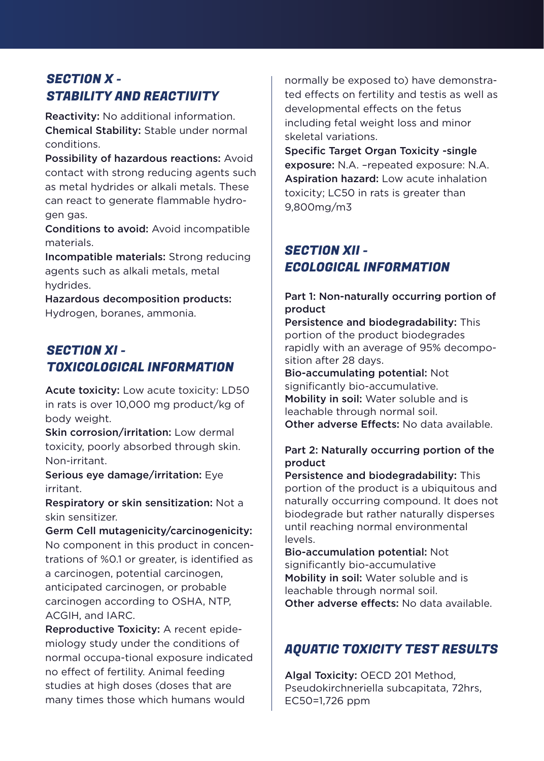# SECTION X - STABILITY AND REACTIVITY

Reactivity: No additional information. Chemical Stability: Stable under normal conditions.

Possibility of hazardous reactions: Avoid contact with strong reducing agents such as metal hydrides or alkali metals. These can react to generate flammable hydrogen gas.

Conditions to avoid: Avoid incompatible materials.

Incompatible materials: Strong reducing agents such as alkali metals, metal hydrides.

Hazardous decomposition products: Hydrogen, boranes, ammonia.

## SECTION XI - TOXICOLOGICAL INFORMATION

Acute toxicity: Low acute toxicity: LD50 in rats is over 10,000 mg product/kg of body weight.

Skin corrosion/irritation: Low dermal toxicity, poorly absorbed through skin. Non-irritant.

Serious eye damage/irritation: Eye irritant.

Respiratory or skin sensitization: Not a skin sensitizer.

Germ Cell mutagenicity/carcinogenicity: No component in this product in concentrations of %0.1 or greater, is identified as a carcinogen, potential carcinogen, anticipated carcinogen, or probable carcinogen according to OSHA, NTP, ACGIH, and IARC.

Reproductive Toxicity: A recent epidemiology study under the conditions of normal occupa-tional exposure indicated no effect of fertility. Animal feeding studies at high doses (doses that are many times those which humans would

normally be exposed to) have demonstrated effects on fertility and testis as well as developmental effects on the fetus including fetal weight loss and minor skeletal variations.

Specific Target Organ Toxicity -single exposure: N.A. –repeated exposure: N.A. Aspiration hazard: Low acute inhalation toxicity; LC50 in rats is greater than 9,800mg/m3

# SECTION XII - ECOLOGICAL INFORMATION

### Part 1: Non-naturally occurring portion of product

Persistence and biodegradability: This portion of the product biodegrades rapidly with an average of 95% decomposition after 28 days.

Bio-accumulating potential: Not significantly bio-accumulative. Mobility in soil: Water soluble and is leachable through normal soil.

Other adverse Effects: No data available.

### Part 2: Naturally occurring portion of the product

Persistence and biodegradability: This portion of the product is a ubiquitous and naturally occurring compound. It does not biodegrade but rather naturally disperses until reaching normal environmental levels.

Bio-accumulation potential: Not significantly bio-accumulative Mobility in soil: Water soluble and is leachable through normal soil. Other adverse effects: No data available

## AQUATIC TOXICITY TEST RESULTS

Algal Toxicity: OECD 201 Method, Pseudokirchneriella subcapitata, 72hrs, EC50=1,726 ppm